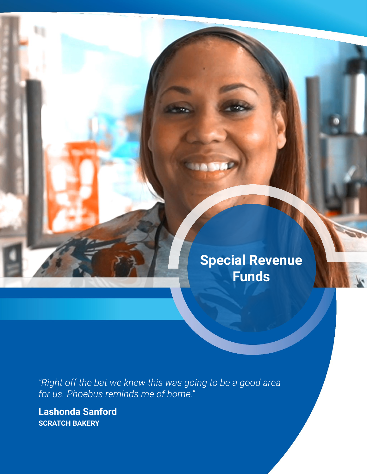**Special Revenue Funds**

*"Right off the bat we knew this was going to be a good area for us. Phoebus reminds me of home."* 

**Lashonda Sanford SCRATCH BAKERY**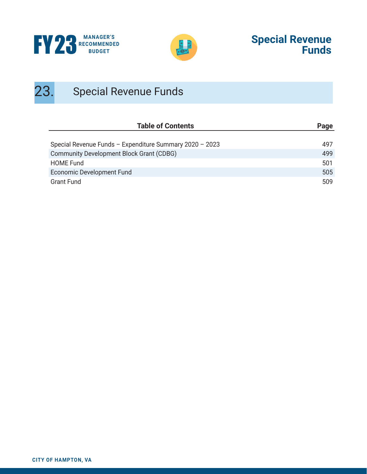





# 23. Special Revenue Funds

| <b>Table of Contents</b>                                | Page |
|---------------------------------------------------------|------|
|                                                         |      |
| Special Revenue Funds - Expenditure Summary 2020 - 2023 | 497  |
| <b>Community Development Block Grant (CDBG)</b>         | 499  |
| <b>HOME</b> Fund                                        | 501  |
| Economic Development Fund                               | 505  |
| <b>Grant Fund</b>                                       | 509  |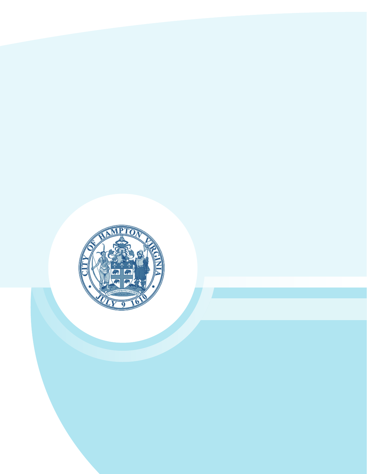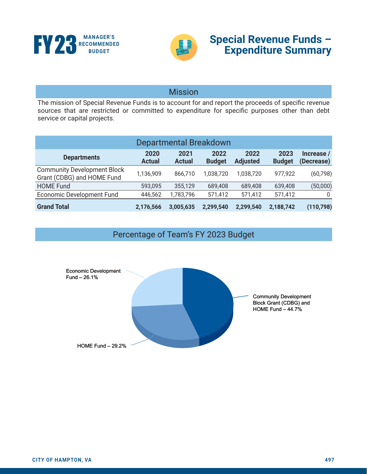



# **Special Revenue Funds – Expenditure Summary**

## Mission

The mission of Special Revenue Funds is to account for and report the proceeds of specific revenue sources that are restricted or committed to expenditure for specific purposes other than debt service or capital projects.

| Departmental Breakdown                                           |                       |                       |                       |                         |                       |                          |  |
|------------------------------------------------------------------|-----------------------|-----------------------|-----------------------|-------------------------|-----------------------|--------------------------|--|
| <b>Departments</b>                                               | 2020<br><b>Actual</b> | 2021<br><b>Actual</b> | 2022<br><b>Budget</b> | 2022<br><b>Adjusted</b> | 2023<br><b>Budget</b> | Increase /<br>(Decrease) |  |
| <b>Community Development Block</b><br>Grant (CDBG) and HOME Fund | 1,136,909             | 866,710               | 1,038,720             | 1,038,720               | 977,922               | (60, 798)                |  |
| <b>HOME Fund</b>                                                 | 593,095               | 355,129               | 689,408               | 689,408                 | 639,408               | (50,000)                 |  |
| <b>Economic Development Fund</b>                                 | 446,562               | 1,783,796             | 571,412               | 571,412                 | 571,412               | 0                        |  |
| <b>Grand Total</b>                                               | 2,176,566             | 3,005,635             | 2,299,540             | 2,299,540               | 2,188,742             | (110,798)                |  |

## Percentage of Team's FY 2023 Budget

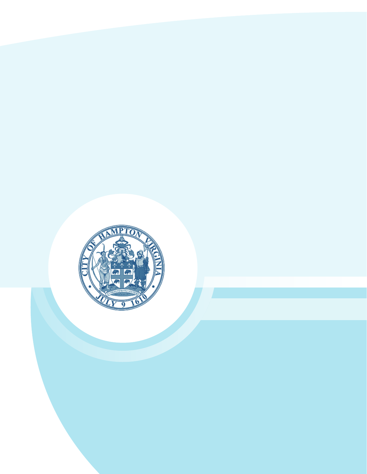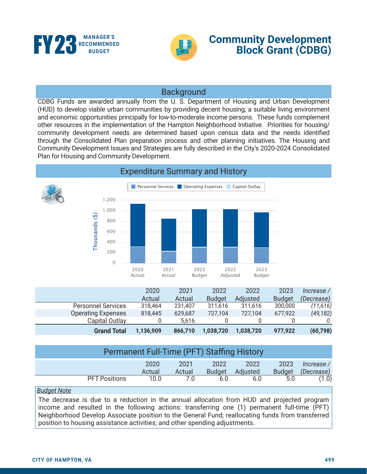



# **Community Development Block Grant (CDBG)**

## **Background**

CDBG Funds are awarded annually from the U. S. Department of Housing and Urban Development (HUD) to develop viable urban communities by providing decent housing, a suitable living environment and economic opportunities principally for low-to-moderate income persons. These funds complement other resources in the implementation of the Hampton Neighborhood Initiative. Priorities for housing/ community development needs are determined based upon census data and the needs identified through the Consolidated Plan preparation process and other planning initiatives. The Housing and Community Development Issues and Strategies are fully described in the City's 2020-2024 Consolidated Plan for Housing and Community Development.



## Expenditure Summary and History

| <b>Grand Total</b>        | 1,136,909 | 866.710 | 1,038,720     | 1,038,720 | 977,922       | (60, 798)  |
|---------------------------|-----------|---------|---------------|-----------|---------------|------------|
| Capital Outlay            |           | 5.616   |               |           |               |            |
| <b>Operating Expenses</b> | 818,445   | 629.687 | 727.104       | 727,104   | 677,922       | (49, 182)  |
| <b>Personnel Services</b> | 318,464   | 231,407 | 311,616       | 311,616   | 300,000       | (11,616)   |
|                           | Actual    | Actual  | <b>Budget</b> | Adjusted  | <b>Budget</b> | (Decrease) |
|                           | 2020      | 2021    | 2022          | 2022      | 2023          | Increase / |
|                           |           |         |               |           |               |            |

| Permanent Full-Time (PFT) Staffing History |                |                |                       |                  |                       |                          |
|--------------------------------------------|----------------|----------------|-----------------------|------------------|-----------------------|--------------------------|
|                                            | 2020<br>Actual | 2021<br>Actual | 2022<br><b>Budget</b> | 2022<br>Adjusted | 2023<br><b>Budget</b> | Increase /<br>(Decrease) |
| <b>PFT Positions</b>                       | 10.0           | 7.0            | 6.0                   | 6.0              | 5.0                   | (1.0)                    |

### *Budget Note*

The decrease is due to a reduction in the annual allocation from HUD and projected program income and resulted in the following actions: transferring one (1) permanent full-time (PFT) Neighborhood Develop Associate position to the General Fund; reallocating funds from transferred position to housing assistance activities; and other spending adjustments.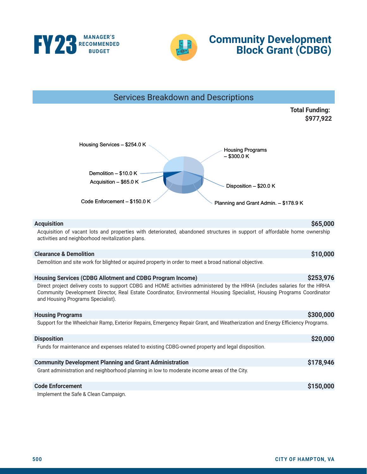



# **Community Development Block Grant (CDBG)**

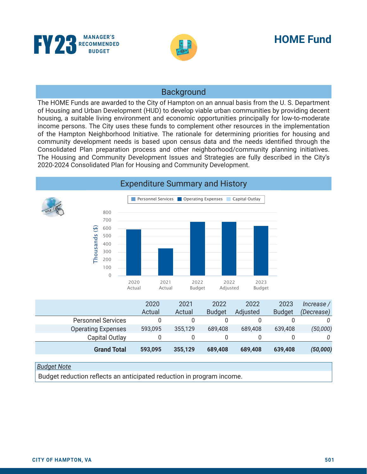



# **HOME Fund**

## **Background**

The HOME Funds are awarded to the City of Hampton on an annual basis from the U. S. Department of Housing and Urban Development (HUD) to develop viable urban communities by providing decent housing, a suitable living environment and economic opportunities principally for low-to-moderate income persons. The City uses these funds to complement other resources in the implementation of the Hampton Neighborhood Initiative. The rationale for determining priorities for housing and community development needs is based upon census data and the needs identified through the Consolidated Plan preparation process and other neighborhood/community planning initiatives. The Housing and Community Development Issues and Strategies are fully described in the City's 2020-2024 Consolidated Plan for Housing and Community Development.



| <b>Operating Expenses</b> | 593.095 | 355,129 | 689,408 | 689,408 | 639,408 | (50,000) |
|---------------------------|---------|---------|---------|---------|---------|----------|
| Capital Outlay            |         |         |         |         |         | 0        |
| <b>Grand Total</b>        | 593,095 | 355,129 | 689,408 | 689,408 | 639,408 | (50,000) |

### *Budget Note*

Budget reduction reflects an anticipated reduction in program income.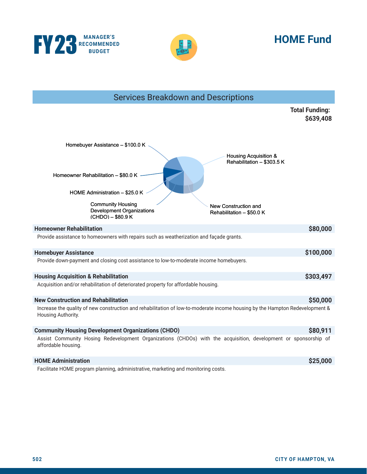





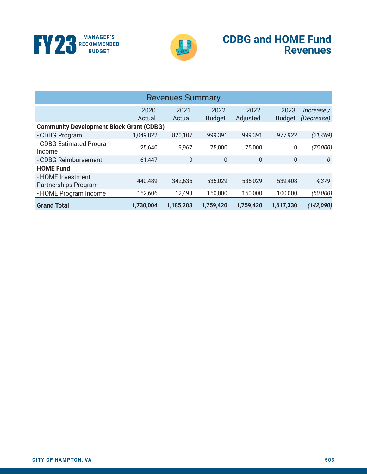



# **CDBG and HOME Fund Revenues**

| <b>Revenues Summary</b>                         |                |                |                       |                  |                       |                          |  |
|-------------------------------------------------|----------------|----------------|-----------------------|------------------|-----------------------|--------------------------|--|
|                                                 | 2020<br>Actual | 2021<br>Actual | 2022<br><b>Budget</b> | 2022<br>Adjusted | 2023<br><b>Budget</b> | Increase /<br>(Decrease) |  |
| <b>Community Development Block Grant (CDBG)</b> |                |                |                       |                  |                       |                          |  |
| - CDBG Program                                  | 1,049,822      | 820,107        | 999,391               | 999,391          | 977,922               | (21, 469)                |  |
| - CDBG Estimated Program<br>Income              | 25,640         | 9,967          | 75,000                | 75,000           | $\mathbf 0$           | (75,000)                 |  |
| - CDBG Reimbursement                            | 61,447         | $\mathbf 0$    | $\theta$              | 0                | $\theta$              | $\theta$                 |  |
| <b>HOME Fund</b>                                |                |                |                       |                  |                       |                          |  |
| - HOME Investment<br>Partnerships Program       | 440,489        | 342,636        | 535,029               | 535,029          | 539,408               | 4,379                    |  |
| - HOME Program Income                           | 152,606        | 12,493         | 150,000               | 150,000          | 100,000               | (50,000)                 |  |
| <b>Grand Total</b>                              | 1,730,004      | 1,185,203      | 1,759,420             | 1,759,420        | 1,617,330             | (142, 090)               |  |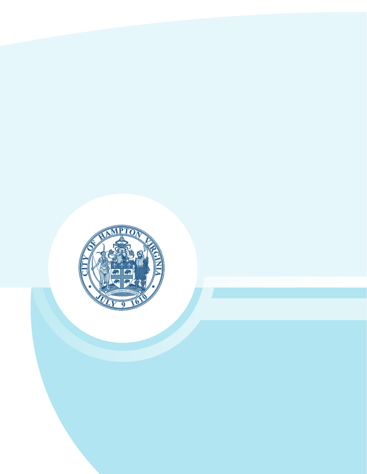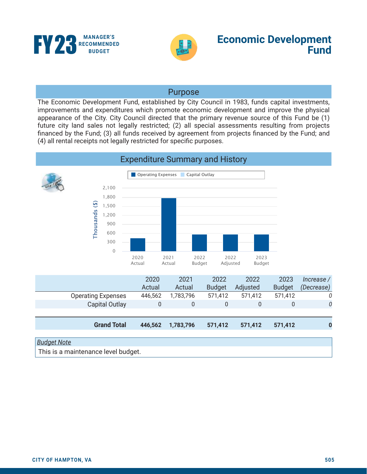



# **Economic Development Fund**

## Purpose

The Economic Development Fund, established by City Council in 1983, funds capital investments, improvements and expenditures which promote economic development and improve the physical appearance of the City. City Council directed that the primary revenue source of this Fund be (1) future city land sales not legally restricted; (2) all special assessments resulting from projects financed by the Fund; (3) all funds received by agreement from projects financed by the Fund; and (4) all rental receipts not legally restricted for specific purposes.



This is a maintenance level budget.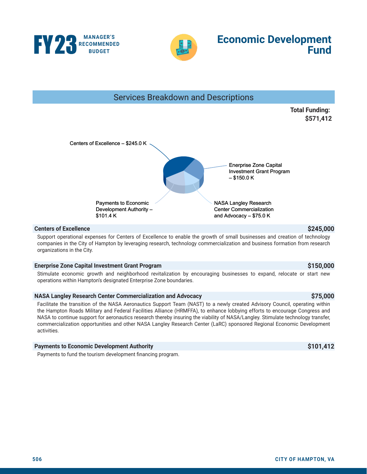



# **Economic Development Fund**



### **Centers of Excellence \$245,000**

Support operational expenses for Centers of Excellence to enable the growth of small businesses and creation of technology companies in the City of Hampton by leveraging research, technology commercialization and business formation from research organizations in the City.

### **Enerprise Zone Capital Investment Grant Program \$150,000**

Stimulate economic growth and neighborhood revitalization by encouraging businesses to expand, relocate or start new operations within Hampton's designated Enterprise Zone boundaries.

### **NASA Langley Research Center Commercialization and Advocacy \$75,000**

Facilitate the transition of the NASA Aeronautics Support Team (NAST) to a newly created Advisory Council, operating within the Hampton Roads Military and Federal Facilities Alliance (HRMFFA), to enhance lobbying efforts to encourage Congress and NASA to continue support for aeronautics research thereby insuring the viability of NASA/Langley. Stimulate technology transfer, commercialization opportunities and other NASA Langley Research Center (LaRC) sponsored Regional Economic Development activities.

### **Payments to Economic Development Authority <b>Authority 3101,412**

Payments to fund the tourism development financing program.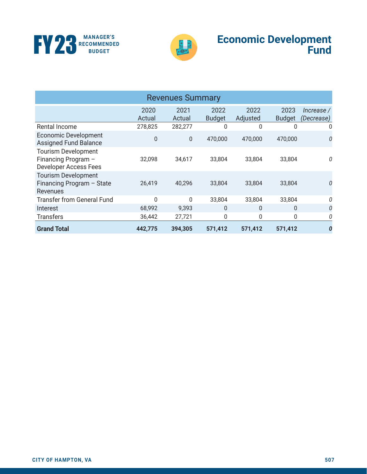



# **Economic Development Fund**

| <b>Revenues Summary</b>                                                           |                |                |                       |                  |                       |                          |  |
|-----------------------------------------------------------------------------------|----------------|----------------|-----------------------|------------------|-----------------------|--------------------------|--|
|                                                                                   | 2020<br>Actual | 2021<br>Actual | 2022<br><b>Budget</b> | 2022<br>Adjusted | 2023<br><b>Budget</b> | Increase /<br>(Decrease) |  |
| Rental Income                                                                     | 278,825        | 282,277        | 0                     | 0                | 0                     | 0                        |  |
| <b>Economic Development</b><br><b>Assigned Fund Balance</b>                       | $\theta$       | $\mathbf 0$    | 470,000               | 470,000          | 470,000               | 0                        |  |
| <b>Tourism Development</b><br>Financing Program -<br><b>Developer Access Fees</b> | 32,098         | 34,617         | 33,804                | 33,804           | 33,804                | 0                        |  |
| <b>Tourism Development</b><br>Financing Program - State<br>Revenues               | 26,419         | 40,296         | 33,804                | 33,804           | 33,804                | $\theta$                 |  |
| <b>Transfer from General Fund</b>                                                 | $\mathbf{0}$   | 0              | 33,804                | 33,804           | 33,804                | 0                        |  |
| Interest                                                                          | 68,992         | 9,393          | $\mathbf{0}$          | $\mathbf{0}$     | $\Omega$              | $\theta$                 |  |
| <b>Transfers</b>                                                                  | 36,442         | 27,721         | 0                     | 0                | 0                     | 0                        |  |
| <b>Grand Total</b>                                                                | 442,775        | 394,305        | 571,412               | 571,412          | 571,412               | 0                        |  |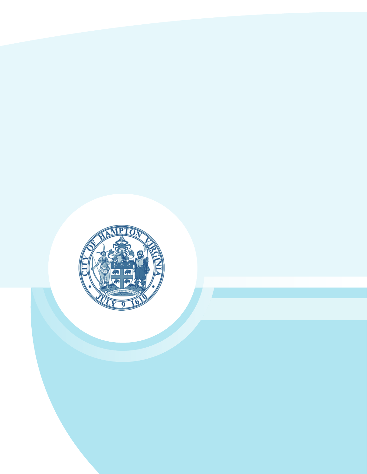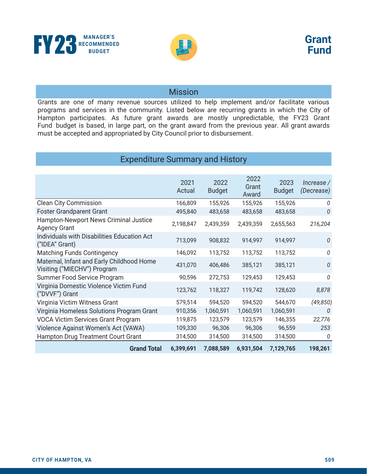



## **Mission**

Grants are one of many revenue sources utilized to help implement and/or facilitate various programs and services in the community. Listed below are recurring grants in which the City of Hampton participates. As future grant awards are mostly unpredictable, the FY23 Grant Fund budget is based, in large part, on the grant award from the previous year. All grant awards must be accepted and appropriated by City Council prior to disbursement.

## Expenditure Summary and History

| <b>Grand Total</b>                                                       | 6,399,691      | 7,088,589             | 6,931,504              | 7,129,765             | 198,261                 |
|--------------------------------------------------------------------------|----------------|-----------------------|------------------------|-----------------------|-------------------------|
| <b>Hampton Drug Treatment Court Grant</b>                                | 314,500        | 314,500               | 314,500                | 314,500               | 0                       |
| Violence Against Women's Act (VAWA)                                      | 109,330        | 96,306                | 96,306                 | 96,559                | 253                     |
| <b>VOCA Victim Services Grant Program</b>                                | 119,875        | 123,579               | 123,579                | 146,355               | 22,776                  |
| Virginia Homeless Solutions Program Grant                                | 910,356        | 1,060,591             | 1,060,591              | 1,060,591             | 0                       |
| Virginia Victim Witness Grant                                            | 579,514        | 594,520               | 594,520                | 544,670               | (49, 850)               |
| Virginia Domestic Violence Victim Fund<br>("DVVF") Grant                 | 123,762        | 118,327               | 119,742                | 128,620               | 8,878                   |
| Summer Food Service Program                                              | 90,596         | 272,753               | 129,453                | 129,453               | 0                       |
| Maternal, Infant and Early Childhood Home<br>Visiting ("MIECHV") Program | 431,070        | 406,486               | 385,121                | 385,121               | 0                       |
| <b>Matching Funds Contingency</b>                                        | 146,092        | 113,752               | 113,752                | 113,752               | 0                       |
| Individuals with Disabilities Education Act<br>("IDEA" Grant)            | 713,099        | 908,832               | 914,997                | 914,997               | 0                       |
| Hampton-Newport News Criminal Justice<br><b>Agency Grant</b>             | 2,198,847      | 2,439,359             | 2,439,359              | 2,655,563             | 216,204                 |
| <b>Foster Grandparent Grant</b>                                          | 495,840        | 483,658               | 483,658                | 483,658               | 0                       |
| <b>Clean City Commission</b>                                             | 166,809        | 155,926               | 155,926                | 155,926               | 0                       |
|                                                                          | 2021<br>Actual | 2022<br><b>Budget</b> | 2022<br>Grant<br>Award | 2023<br><b>Budget</b> | Increase/<br>(Decrease) |
|                                                                          |                |                       |                        |                       |                         |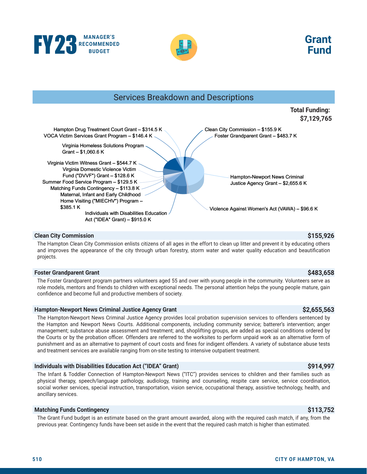







### **Clean City Commission \$155,926**

The Hampton Clean City Commission enlists citizens of all ages in the effort to clean up litter and prevent it by educating others and improves the appearance of the city through urban forestry, storm water and water quality education and beautification projects.

### **Foster Grandparent Grant \$483,658**

The Foster Grandparent program partners volunteers aged 55 and over with young people in the community. Volunteers serve as role models, mentors and friends to children with exceptional needs. The personal attention helps the young people mature, gain confidence and become full and productive members of society.

### **Hampton-Newport News Criminal Justice Agency Grant \$2,655,563**

The Hampton-Newport News Criminal Justice Agency provides local probation supervision services to offenders sentenced by the Hampton and Newport News Courts. Additional components, including community service; batterer's intervention; anger management; substance abuse assessment and treatment; and, shoplifting groups, are added as special conditions ordered by the Courts or by the probation officer. Offenders are referred to the worksites to perform unpaid work as an alternative form of punishment and as an alternative to payment of court costs and fines for indigent offenders. A variety of substance abuse tests and treatment services are available ranging from on-site testing to intensive outpatient treatment.

### **Individuals with Disabilities Education Act ("IDEA" Grant) \$914,997**

The Infant & Toddler Connection of Hampton-Newport News ("ITC") provides services to children and their families such as physical therapy, speech/language pathology, audiology, training and counseling, respite care service, service coordination, social worker services, special instruction, transportation, vision service, occupational therapy, assistive technology, health, and ancillary services.

### **Matching Funds Contingency \$113,752**

The Grant Fund budget is an estimate based on the grant amount awarded, along with the required cash match, if any, from the previous year. Contingency funds have been set aside in the event that the required cash match is higher than estimated.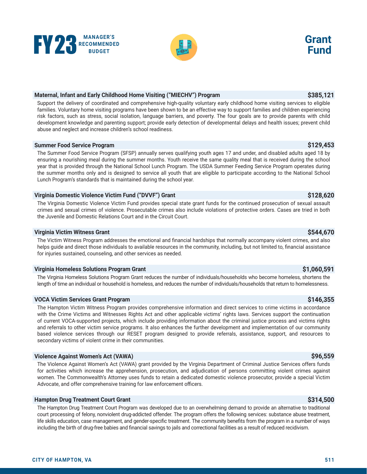### **Maternal, Infant and Early Childhood Home Visiting ("MIECHV") Program \$385,121**

Support the delivery of coordinated and comprehensive high-quality voluntary early childhood home visiting services to eligible families. Voluntary home visiting programs have been shown to be an effective way to support families and children experiencing risk factors, such as stress, social isolation, language barriers, and poverty. The four goals are to provide parents with child development knowledge and parenting support; provide early detection of developmental delays and health issues; prevent child abuse and neglect and increase children's school readiness.

### **Summer Food Service Program \$129,453**

The Summer Food Service Program (SFSP) annually serves qualifying youth ages 17 and under, and disabled adults aged 18 by ensuring a nourishing meal during the summer months. Youth receive the same quality meal that is received during the school year that is provided through the National School Lunch Program. The USDA Summer Feeding Service Program operates during the summer months only and is designed to service all youth that are eligible to participate according to the National School Lunch Program's standards that is maintained during the school year.

### **Virginia Domestic Violence Victim Fund ("DVVF") Grant \$128,620**

**Manager's Recommended BUDGET**

The Virginia Domestic Violence Victim Fund provides special state grant funds for the continued prosecution of sexual assault crimes and sexual crimes of violence. Prosecutable crimes also include violations of protective orders. Cases are tried in both the Juvenile and Domestic Relations Court and in the Circuit Court.

### **Virginia Victim Witness Grant \$544,670**

The Victim Witness Program addresses the emotional and financial hardships that normally accompany violent crimes, and also helps guide and direct those individuals to available resources in the community, including, but not limited to, financial assistance for injuries sustained, counseling, and other services as needed.

### **Virginia Homeless Solutions Program Grant \$1,060,591**

The Virginia Homeless Solutions Program Grant reduces the number of individuals/households who become homeless, shortens the length of time an individual or household is homeless, and reduces the number of individuals/households that return to homelessness.

### **VOCA Victim Services Grant Program \$146,355**

The Hampton Victim Witness Program provides comprehensive information and direct services to crime victims in accordance with the Crime Victims and Witnesses Rights Act and other applicable victims' rights laws. Services support the continuation of current VOCA-supported projects, which include providing information about the criminal justice process and victims rights and referrals to other victim service programs. It also enhances the further development and implementation of our community based violence services through our RESET program designed to provide referrals, assistance, support, and resources to secondary victims of violent crime in their communities.

### **Violence Against Women's Act (VAWA) \$96,559**

The Violence Against Women's Act (VAWA) grant provided by the Virginia Department of Criminal Justice Services offers funds for activities which increase the apprehension, prosecution, and adjudication of persons committing violent crimes against women. The Commonwealth's Attorney uses funds to retain a dedicated domestic violence prosecutor, provide a special Victim Advocate, and offer comprehensive training for law enforcement officers.

### **Hampton Drug Treatment Court Grant \$314,500**

The Hampton Drug Treatment Court Program was developed due to an overwhelming demand to provide an alternative to traditional court processing of felony, nonviolent drug-addicted offender. The program offers the following services: substance abuse treatment, life skills education, case management, and gender-specific treatment. The community benefits from the program in a number of ways including the birth of drug-free babies and financial savings to jails and correctional facilities as a result of reduced recidivism.